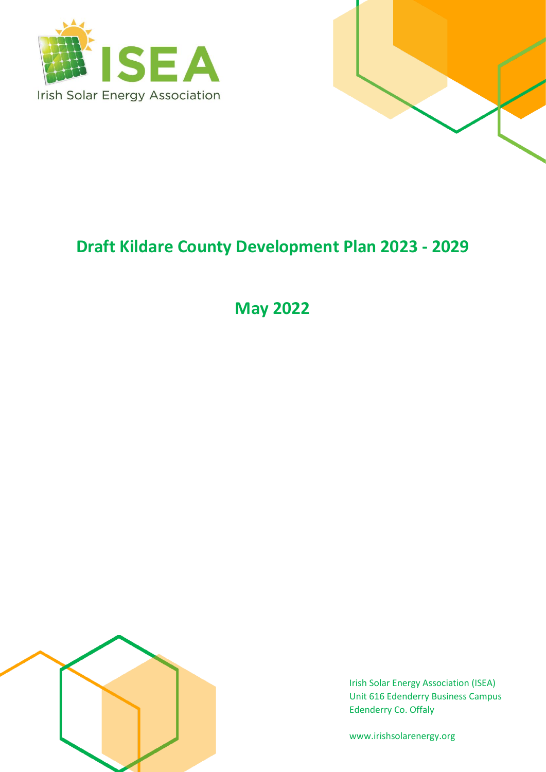



# **Draft Kildare County Development Plan 2023 - 2029**

**May 2022**



Irish Solar Energy Association (ISEA) Unit 616 Edenderry Business Campus Edenderry Co. Offaly

www.irishsolarenergy.org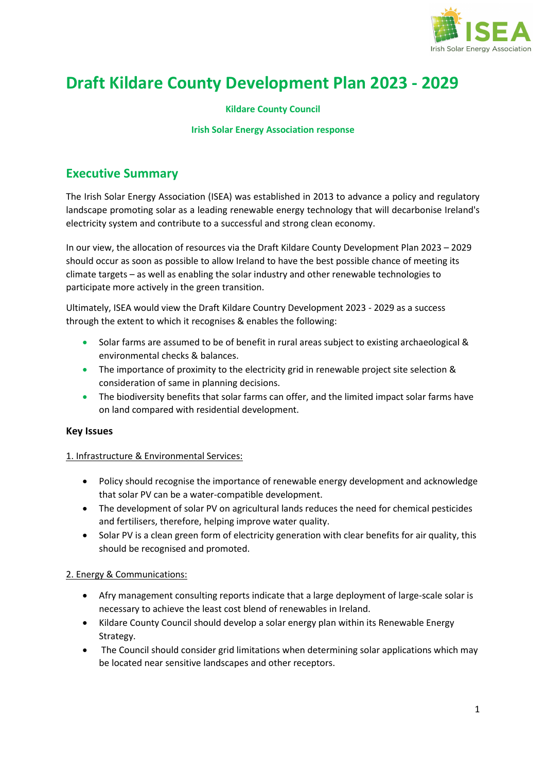

# **Draft Kildare County Development Plan 2023 - 2029**

### **Kildare County Council**

#### **Irish Solar Energy Association response**

### **Executive Summary**

The Irish Solar Energy Association (ISEA) was established in 2013 to advance a policy and regulatory landscape promoting solar as a leading renewable energy technology that will decarbonise Ireland's electricity system and contribute to a successful and strong clean economy.

In our view, the allocation of resources via the Draft Kildare County Development Plan 2023 – 2029 should occur as soon as possible to allow Ireland to have the best possible chance of meeting its climate targets – as well as enabling the solar industry and other renewable technologies to participate more actively in the green transition.

Ultimately, ISEA would view the Draft Kildare Country Development 2023 - 2029 as a success through the extent to which it recognises & enables the following:

- Solar farms are assumed to be of benefit in rural areas subject to existing archaeological & environmental checks & balances.
- The importance of proximity to the electricity grid in renewable project site selection & consideration of same in planning decisions.
- The biodiversity benefits that solar farms can offer, and the limited impact solar farms have on land compared with residential development.

#### **Key Issues**

#### 1. Infrastructure & Environmental Services:

- Policy should recognise the importance of renewable energy development and acknowledge that solar PV can be a water-compatible development.
- The development of solar PV on agricultural lands reduces the need for chemical pesticides and fertilisers, therefore, helping improve water quality.
- Solar PV is a clean green form of electricity generation with clear benefits for air quality, this should be recognised and promoted.

#### 2. Energy & Communications:

- Afry management consulting reports indicate that a large deployment of large-scale solar is necessary to achieve the least cost blend of renewables in Ireland.
- Kildare County Council should develop a solar energy plan within its Renewable Energy Strategy.
- The Council should consider grid limitations when determining solar applications which may be located near sensitive landscapes and other receptors.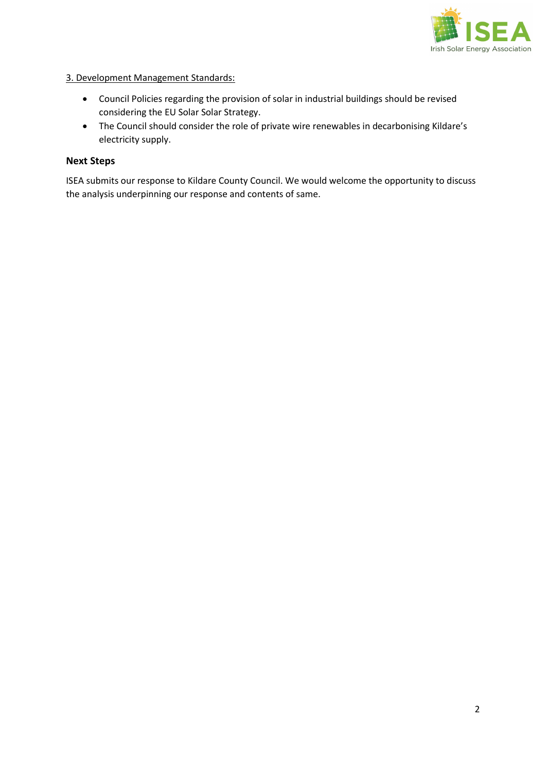

### 3. Development Management Standards:

- Council Policies regarding the provision of solar in industrial buildings should be revised considering the EU Solar Solar Strategy.
- The Council should consider the role of private wire renewables in decarbonising Kildare's electricity supply.

### **Next Steps**

ISEA submits our response to Kildare County Council. We would welcome the opportunity to discuss the analysis underpinning our response and contents of same.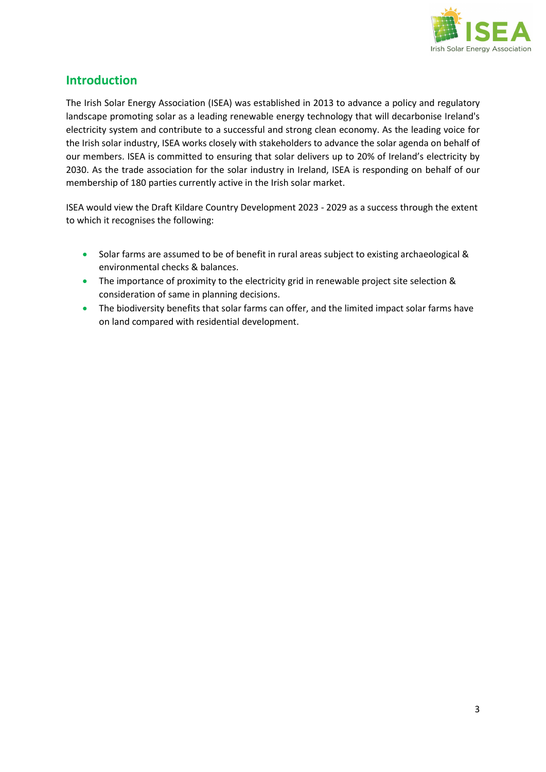

### **Introduction**

The Irish Solar Energy Association (ISEA) was established in 2013 to advance a policy and regulatory landscape promoting solar as a leading renewable energy technology that will decarbonise Ireland's electricity system and contribute to a successful and strong clean economy. As the leading voice for the Irish solar industry, ISEA works closely with stakeholders to advance the solar agenda on behalf of our members. ISEA is committed to ensuring that solar delivers up to 20% of Ireland's electricity by 2030. As the trade association for the solar industry in Ireland, ISEA is responding on behalf of our membership of 180 parties currently active in the Irish solar market.

ISEA would view the Draft Kildare Country Development 2023 - 2029 as a success through the extent to which it recognises the following:

- Solar farms are assumed to be of benefit in rural areas subject to existing archaeological & environmental checks & balances.
- The importance of proximity to the electricity grid in renewable project site selection & consideration of same in planning decisions.
- The biodiversity benefits that solar farms can offer, and the limited impact solar farms have on land compared with residential development.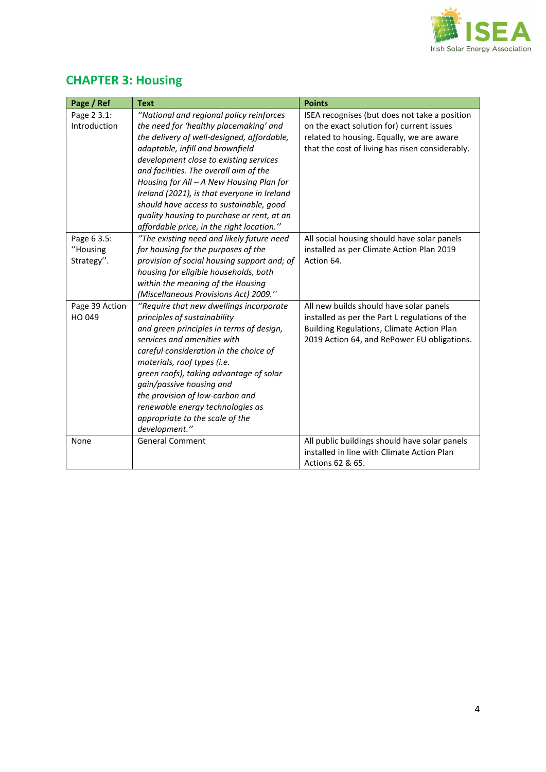

## **CHAPTER 3: Housing**

| Page / Ref     | <b>Text</b>                                 | <b>Points</b>                                   |
|----------------|---------------------------------------------|-------------------------------------------------|
| Page 2 3.1:    | "National and regional policy reinforces    | ISEA recognises (but does not take a position   |
| Introduction   | the need for 'healthy placemaking' and      | on the exact solution for) current issues       |
|                | the delivery of well-designed, affordable,  | related to housing. Equally, we are aware       |
|                | adaptable, infill and brownfield            | that the cost of living has risen considerably. |
|                | development close to existing services      |                                                 |
|                | and facilities. The overall aim of the      |                                                 |
|                | Housing for All - A New Housing Plan for    |                                                 |
|                | Ireland (2021), is that everyone in Ireland |                                                 |
|                | should have access to sustainable, good     |                                                 |
|                | quality housing to purchase or rent, at an  |                                                 |
|                | affordable price, in the right location."   |                                                 |
| Page 6 3.5:    | "The existing need and likely future need   | All social housing should have solar panels     |
| "Housing       | for housing for the purposes of the         | installed as per Climate Action Plan 2019       |
| Strategy".     | provision of social housing support and; of | Action 64.                                      |
|                | housing for eligible households, both       |                                                 |
|                | within the meaning of the Housing           |                                                 |
|                | (Miscellaneous Provisions Act) 2009."       |                                                 |
| Page 39 Action | "Require that new dwellings incorporate     | All new builds should have solar panels         |
| HO 049         | principles of sustainability                | installed as per the Part L regulations of the  |
|                | and green principles in terms of design,    | Building Regulations, Climate Action Plan       |
|                | services and amenities with                 | 2019 Action 64, and RePower EU obligations.     |
|                | careful consideration in the choice of      |                                                 |
|                | materials, roof types (i.e.                 |                                                 |
|                | green roofs), taking advantage of solar     |                                                 |
|                | gain/passive housing and                    |                                                 |
|                | the provision of low-carbon and             |                                                 |
|                | renewable energy technologies as            |                                                 |
|                | appropriate to the scale of the             |                                                 |
|                | development."                               |                                                 |
| None           | <b>General Comment</b>                      | All public buildings should have solar panels   |
|                |                                             | installed in line with Climate Action Plan      |
|                |                                             | Actions 62 & 65.                                |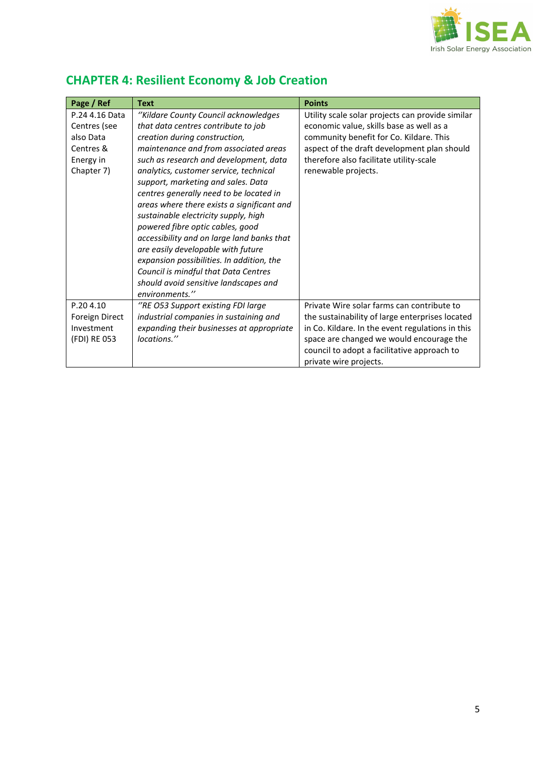

| Page / Ref     | <b>Text</b>                                | <b>Points</b>                                    |
|----------------|--------------------------------------------|--------------------------------------------------|
| P.24 4.16 Data | "Kildare County Council acknowledges       | Utility scale solar projects can provide similar |
| Centres (see   | that data centres contribute to job        | economic value, skills base as well as a         |
| also Data      | creation during construction,              | community benefit for Co. Kildare. This          |
| Centres &      | maintenance and from associated areas      | aspect of the draft development plan should      |
| Energy in      | such as research and development, data     | therefore also facilitate utility-scale          |
| Chapter 7)     | analytics, customer service, technical     | renewable projects.                              |
|                | support, marketing and sales. Data         |                                                  |
|                | centres generally need to be located in    |                                                  |
|                | areas where there exists a significant and |                                                  |
|                | sustainable electricity supply, high       |                                                  |
|                | powered fibre optic cables, good           |                                                  |
|                | accessibility and on large land banks that |                                                  |
|                | are easily developable with future         |                                                  |
|                | expansion possibilities. In addition, the  |                                                  |
|                | Council is mindful that Data Centres       |                                                  |
|                | should avoid sensitive landscapes and      |                                                  |
|                | environments."                             |                                                  |
| P.204.10       | "RE O53 Support existing FDI large         | Private Wire solar farms can contribute to       |
| Foreign Direct | industrial companies in sustaining and     | the sustainability of large enterprises located  |
| Investment     | expanding their businesses at appropriate  | in Co. Kildare. In the event regulations in this |
| (FDI) RE 053   | locations."                                | space are changed we would encourage the         |
|                |                                            | council to adopt a facilitative approach to      |
|                |                                            | private wire projects.                           |

## **CHAPTER 4: Resilient Economy & Job Creation**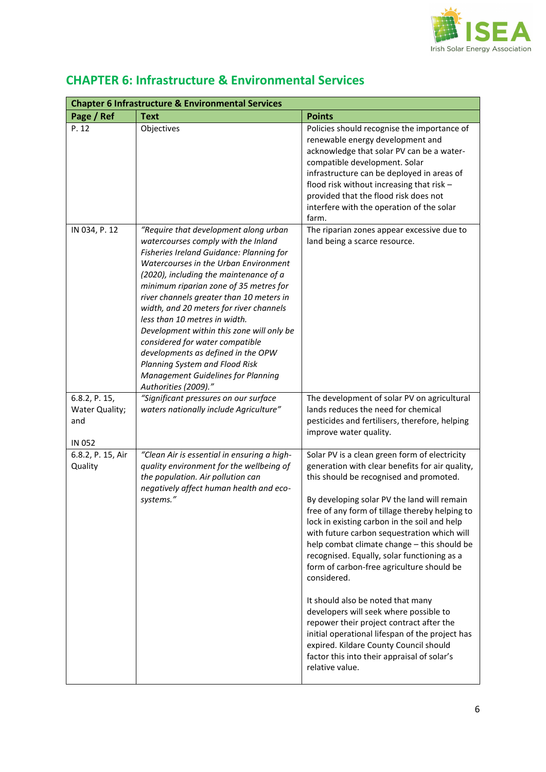

| <b>Chapter 6 Infrastructure &amp; Environmental Services</b> |                                                                                                                                                                                                                                                                                                                                                                                                                                                                                                                                                                                                            |                                                                                                                                                                                                                                                                                                                                                                                                                                                                                                                                                                                                                                                                                                                                                                                                 |
|--------------------------------------------------------------|------------------------------------------------------------------------------------------------------------------------------------------------------------------------------------------------------------------------------------------------------------------------------------------------------------------------------------------------------------------------------------------------------------------------------------------------------------------------------------------------------------------------------------------------------------------------------------------------------------|-------------------------------------------------------------------------------------------------------------------------------------------------------------------------------------------------------------------------------------------------------------------------------------------------------------------------------------------------------------------------------------------------------------------------------------------------------------------------------------------------------------------------------------------------------------------------------------------------------------------------------------------------------------------------------------------------------------------------------------------------------------------------------------------------|
| Page / Ref                                                   | <b>Text</b>                                                                                                                                                                                                                                                                                                                                                                                                                                                                                                                                                                                                | <b>Points</b>                                                                                                                                                                                                                                                                                                                                                                                                                                                                                                                                                                                                                                                                                                                                                                                   |
| P. 12                                                        | Objectives                                                                                                                                                                                                                                                                                                                                                                                                                                                                                                                                                                                                 | Policies should recognise the importance of<br>renewable energy development and<br>acknowledge that solar PV can be a water-<br>compatible development. Solar<br>infrastructure can be deployed in areas of<br>flood risk without increasing that risk -<br>provided that the flood risk does not<br>interfere with the operation of the solar<br>farm.                                                                                                                                                                                                                                                                                                                                                                                                                                         |
| IN 034, P. 12                                                | "Require that development along urban<br>watercourses comply with the Inland<br>Fisheries Ireland Guidance: Planning for<br>Watercourses in the Urban Environment<br>(2020), including the maintenance of a<br>minimum riparian zone of 35 metres for<br>river channels greater than 10 meters in<br>width, and 20 meters for river channels<br>less than 10 metres in width.<br>Development within this zone will only be<br>considered for water compatible<br>developments as defined in the OPW<br>Planning System and Flood Risk<br><b>Management Guidelines for Planning</b><br>Authorities (2009)." | The riparian zones appear excessive due to<br>land being a scarce resource.                                                                                                                                                                                                                                                                                                                                                                                                                                                                                                                                                                                                                                                                                                                     |
| 6.8.2, P. 15,<br>Water Quality;<br>and<br>IN 052             | "Significant pressures on our surface<br>waters nationally include Agriculture"                                                                                                                                                                                                                                                                                                                                                                                                                                                                                                                            | The development of solar PV on agricultural<br>lands reduces the need for chemical<br>pesticides and fertilisers, therefore, helping<br>improve water quality.                                                                                                                                                                                                                                                                                                                                                                                                                                                                                                                                                                                                                                  |
| 6.8.2, P. 15, Air<br>Quality                                 | "Clean Air is essential in ensuring a high-<br>quality environment for the wellbeing of<br>the population. Air pollution can<br>negatively affect human health and eco-<br>systems."                                                                                                                                                                                                                                                                                                                                                                                                                       | Solar PV is a clean green form of electricity<br>generation with clear benefits for air quality,<br>this should be recognised and promoted.<br>By developing solar PV the land will remain<br>free of any form of tillage thereby helping to<br>lock in existing carbon in the soil and help<br>with future carbon sequestration which will<br>help combat climate change - this should be<br>recognised. Equally, solar functioning as a<br>form of carbon-free agriculture should be<br>considered.<br>It should also be noted that many<br>developers will seek where possible to<br>repower their project contract after the<br>initial operational lifespan of the project has<br>expired. Kildare County Council should<br>factor this into their appraisal of solar's<br>relative value. |

### **CHAPTER 6: Infrastructure & Environmental Services**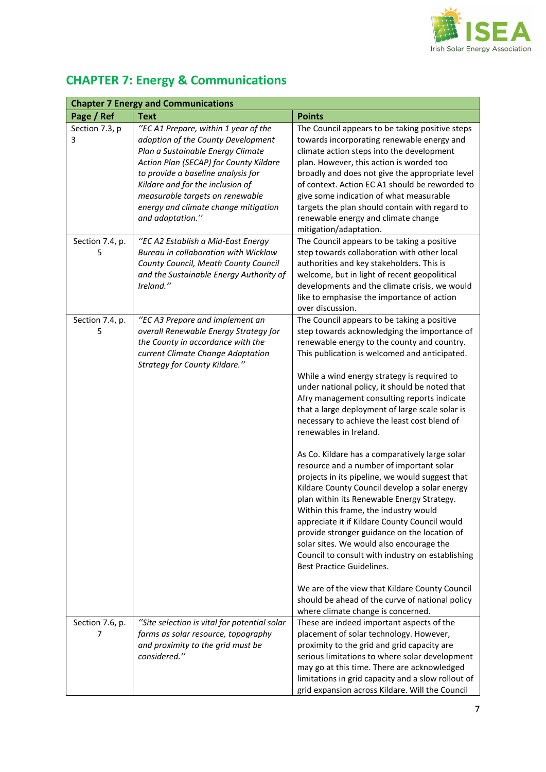

| <b>Chapter 7 Energy and Communications</b> |                                                                                                                                                                                                                                                                                                                                    |                                                                                                                                                                                                                                                                                                                                                                                                                                                                                                                                                                                                                                                                                                                                                                                                                                                                                                                                                                                                                                                                                                                                            |  |
|--------------------------------------------|------------------------------------------------------------------------------------------------------------------------------------------------------------------------------------------------------------------------------------------------------------------------------------------------------------------------------------|--------------------------------------------------------------------------------------------------------------------------------------------------------------------------------------------------------------------------------------------------------------------------------------------------------------------------------------------------------------------------------------------------------------------------------------------------------------------------------------------------------------------------------------------------------------------------------------------------------------------------------------------------------------------------------------------------------------------------------------------------------------------------------------------------------------------------------------------------------------------------------------------------------------------------------------------------------------------------------------------------------------------------------------------------------------------------------------------------------------------------------------------|--|
| Page / Ref                                 | <b>Text</b>                                                                                                                                                                                                                                                                                                                        | <b>Points</b>                                                                                                                                                                                                                                                                                                                                                                                                                                                                                                                                                                                                                                                                                                                                                                                                                                                                                                                                                                                                                                                                                                                              |  |
| Section 7.3, p<br>3                        | "EC A1 Prepare, within 1 year of the<br>adoption of the County Development<br>Plan a Sustainable Energy Climate<br>Action Plan (SECAP) for County Kildare<br>to provide a baseline analysis for<br>Kildare and for the inclusion of<br>measurable targets on renewable<br>energy and climate change mitigation<br>and adaptation." | The Council appears to be taking positive steps<br>towards incorporating renewable energy and<br>climate action steps into the development<br>plan. However, this action is worded too<br>broadly and does not give the appropriate level<br>of context. Action EC A1 should be reworded to<br>give some indication of what measurable<br>targets the plan should contain with regard to<br>renewable energy and climate change<br>mitigation/adaptation.                                                                                                                                                                                                                                                                                                                                                                                                                                                                                                                                                                                                                                                                                  |  |
| Section 7.4, p.<br>5                       | "EC A2 Establish a Mid-East Energy<br>Bureau in collaboration with Wicklow<br>County Council, Meath County Council<br>and the Sustainable Energy Authority of<br>Ireland."                                                                                                                                                         | The Council appears to be taking a positive<br>step towards collaboration with other local<br>authorities and key stakeholders. This is<br>welcome, but in light of recent geopolitical<br>developments and the climate crisis, we would<br>like to emphasise the importance of action<br>over discussion.                                                                                                                                                                                                                                                                                                                                                                                                                                                                                                                                                                                                                                                                                                                                                                                                                                 |  |
| Section 7.4, p.<br>5                       | "EC A3 Prepare and implement an<br>overall Renewable Energy Strategy for<br>the County in accordance with the<br>current Climate Change Adaptation<br>Strategy for County Kildare."                                                                                                                                                | The Council appears to be taking a positive<br>step towards acknowledging the importance of<br>renewable energy to the county and country.<br>This publication is welcomed and anticipated.<br>While a wind energy strategy is required to<br>under national policy, it should be noted that<br>Afry management consulting reports indicate<br>that a large deployment of large scale solar is<br>necessary to achieve the least cost blend of<br>renewables in Ireland.<br>As Co. Kildare has a comparatively large solar<br>resource and a number of important solar<br>projects in its pipeline, we would suggest that<br>Kildare County Council develop a solar energy<br>plan within its Renewable Energy Strategy.<br>Within this frame, the industry would<br>appreciate it if Kildare County Council would<br>provide stronger guidance on the location of<br>solar sites. We would also encourage the<br>Council to consult with industry on establishing<br>Best Practice Guidelines.<br>We are of the view that Kildare County Council<br>should be ahead of the curve of national policy<br>where climate change is concerned. |  |
| Section 7.6, p.<br>7                       | "Site selection is vital for potential solar<br>farms as solar resource, topography<br>and proximity to the grid must be<br>considered."                                                                                                                                                                                           | These are indeed important aspects of the<br>placement of solar technology. However,<br>proximity to the grid and grid capacity are<br>serious limitations to where solar development<br>may go at this time. There are acknowledged<br>limitations in grid capacity and a slow rollout of<br>grid expansion across Kildare. Will the Council                                                                                                                                                                                                                                                                                                                                                                                                                                                                                                                                                                                                                                                                                                                                                                                              |  |

# **CHAPTER 7: Energy & Communications**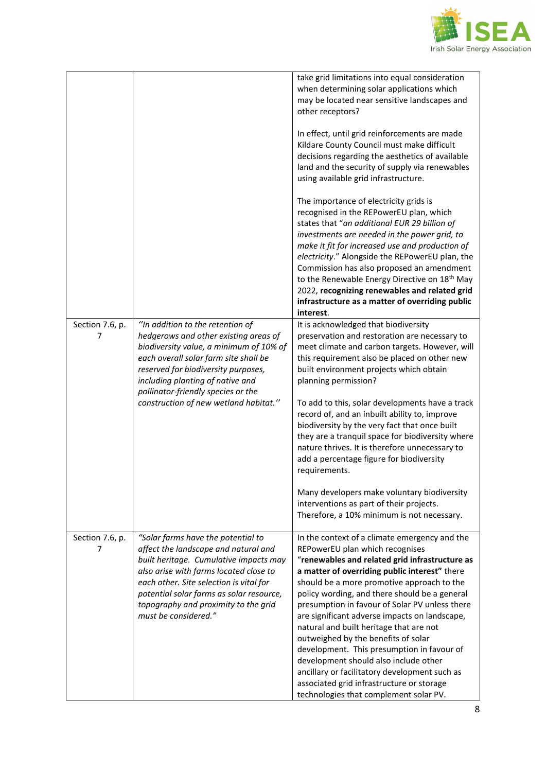

|                                                                                                                                                                                                                                                                                                                       | take grid limitations into equal consideration<br>when determining solar applications which<br>may be located near sensitive landscapes and<br>other receptors?                                                                                                                                                                                                                                                                                                                                                                                                                                                                                                                                        |
|-----------------------------------------------------------------------------------------------------------------------------------------------------------------------------------------------------------------------------------------------------------------------------------------------------------------------|--------------------------------------------------------------------------------------------------------------------------------------------------------------------------------------------------------------------------------------------------------------------------------------------------------------------------------------------------------------------------------------------------------------------------------------------------------------------------------------------------------------------------------------------------------------------------------------------------------------------------------------------------------------------------------------------------------|
|                                                                                                                                                                                                                                                                                                                       | In effect, until grid reinforcements are made<br>Kildare County Council must make difficult<br>decisions regarding the aesthetics of available<br>land and the security of supply via renewables<br>using available grid infrastructure.                                                                                                                                                                                                                                                                                                                                                                                                                                                               |
|                                                                                                                                                                                                                                                                                                                       | The importance of electricity grids is<br>recognised in the REPowerEU plan, which<br>states that "an additional EUR 29 billion of                                                                                                                                                                                                                                                                                                                                                                                                                                                                                                                                                                      |
|                                                                                                                                                                                                                                                                                                                       | investments are needed in the power grid, to<br>make it fit for increased use and production of<br>electricity." Alongside the REPowerEU plan, the<br>Commission has also proposed an amendment<br>to the Renewable Energy Directive on 18 <sup>th</sup> May<br>2022, recognizing renewables and related grid<br>infrastructure as a matter of overriding public<br>interest.                                                                                                                                                                                                                                                                                                                          |
| hedgerows and other existing areas of<br>biodiversity value, a minimum of 10% of<br>each overall solar farm site shall be<br>reserved for biodiversity purposes,<br>including planting of native and                                                                                                                  | It is acknowledged that biodiversity<br>preservation and restoration are necessary to<br>meet climate and carbon targets. However, will<br>this requirement also be placed on other new<br>built environment projects which obtain<br>planning permission?                                                                                                                                                                                                                                                                                                                                                                                                                                             |
| construction of new wetland habitat."                                                                                                                                                                                                                                                                                 | To add to this, solar developments have a track<br>record of, and an inbuilt ability to, improve<br>biodiversity by the very fact that once built<br>they are a tranquil space for biodiversity where<br>nature thrives. It is therefore unnecessary to<br>add a percentage figure for biodiversity<br>requirements.                                                                                                                                                                                                                                                                                                                                                                                   |
|                                                                                                                                                                                                                                                                                                                       | Many developers make voluntary biodiversity<br>interventions as part of their projects.<br>Therefore, a 10% minimum is not necessary.                                                                                                                                                                                                                                                                                                                                                                                                                                                                                                                                                                  |
| "Solar farms have the potential to<br>affect the landscape and natural and<br>built heritage. Cumulative impacts may<br>also arise with farms located close to<br>each other. Site selection is vital for<br>potential solar farms as solar resource,<br>topography and proximity to the grid<br>must be considered." | In the context of a climate emergency and the<br>REPowerEU plan which recognises<br>"renewables and related grid infrastructure as<br>a matter of overriding public interest" there<br>should be a more promotive approach to the<br>policy wording, and there should be a general<br>presumption in favour of Solar PV unless there<br>are significant adverse impacts on landscape,<br>natural and built heritage that are not<br>outweighed by the benefits of solar<br>development. This presumption in favour of<br>development should also include other<br>ancillary or facilitatory development such as<br>associated grid infrastructure or storage<br>technologies that complement solar PV. |
|                                                                                                                                                                                                                                                                                                                       | "In addition to the retention of<br>pollinator-friendly species or the                                                                                                                                                                                                                                                                                                                                                                                                                                                                                                                                                                                                                                 |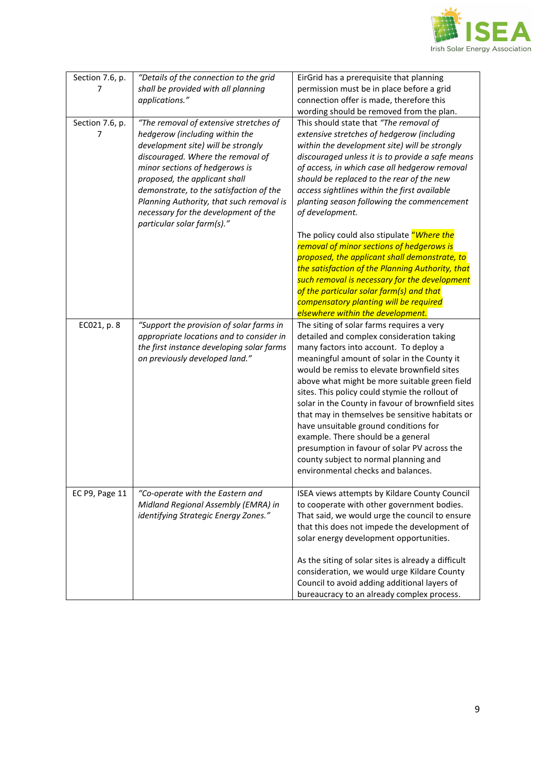

| Section 7.6, p.<br>7 | "Details of the connection to the grid<br>shall be provided with all planning<br>applications."                                                                                                                                                                                                                                                                                     | EirGrid has a prerequisite that planning<br>permission must be in place before a grid<br>connection offer is made, therefore this<br>wording should be removed from the plan.                                                                                                                                                                                                                                                                                                                                                                                                                                                                           |
|----------------------|-------------------------------------------------------------------------------------------------------------------------------------------------------------------------------------------------------------------------------------------------------------------------------------------------------------------------------------------------------------------------------------|---------------------------------------------------------------------------------------------------------------------------------------------------------------------------------------------------------------------------------------------------------------------------------------------------------------------------------------------------------------------------------------------------------------------------------------------------------------------------------------------------------------------------------------------------------------------------------------------------------------------------------------------------------|
| Section 7.6, p.<br>7 | "The removal of extensive stretches of<br>hedgerow (including within the<br>development site) will be strongly<br>discouraged. Where the removal of<br>minor sections of hedgerows is<br>proposed, the applicant shall<br>demonstrate, to the satisfaction of the<br>Planning Authority, that such removal is<br>necessary for the development of the<br>particular solar farm(s)." | This should state that "The removal of<br>extensive stretches of hedgerow (including<br>within the development site) will be strongly<br>discouraged unless it is to provide a safe means<br>of access, in which case all hedgerow removal<br>should be replaced to the rear of the new<br>access sightlines within the first available<br>planting season following the commencement<br>of development.                                                                                                                                                                                                                                                |
|                      |                                                                                                                                                                                                                                                                                                                                                                                     | The policy could also stipulate "Where the<br>removal of minor sections of hedgerows is<br>proposed, the applicant shall demonstrate, to<br>the satisfaction of the Planning Authority, that<br>such removal is necessary for the development<br>of the particular solar farm(s) and that<br>compensatory planting will be required<br>elsewhere within the development.                                                                                                                                                                                                                                                                                |
| EC021, p. 8          | "Support the provision of solar farms in<br>appropriate locations and to consider in<br>the first instance developing solar farms<br>on previously developed land."                                                                                                                                                                                                                 | The siting of solar farms requires a very<br>detailed and complex consideration taking<br>many factors into account. To deploy a<br>meaningful amount of solar in the County it<br>would be remiss to elevate brownfield sites<br>above what might be more suitable green field<br>sites. This policy could stymie the rollout of<br>solar in the County in favour of brownfield sites<br>that may in themselves be sensitive habitats or<br>have unsuitable ground conditions for<br>example. There should be a general<br>presumption in favour of solar PV across the<br>county subject to normal planning and<br>environmental checks and balances. |
| EC P9, Page 11       | "Co-operate with the Eastern and<br>Midland Regional Assembly (EMRA) in<br>identifying Strategic Energy Zones."                                                                                                                                                                                                                                                                     | ISEA views attempts by Kildare County Council<br>to cooperate with other government bodies.<br>That said, we would urge the council to ensure<br>that this does not impede the development of<br>solar energy development opportunities.<br>As the siting of solar sites is already a difficult<br>consideration, we would urge Kildare County<br>Council to avoid adding additional layers of<br>bureaucracy to an already complex process.                                                                                                                                                                                                            |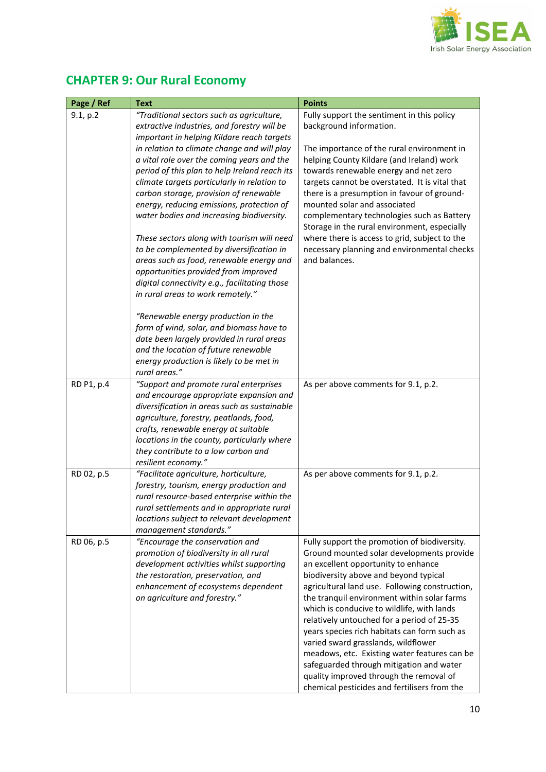

## **CHAPTER 9: Our Rural Economy**

| Page / Ref | <b>Text</b>                                                | <b>Points</b>                                  |
|------------|------------------------------------------------------------|------------------------------------------------|
| 9.1, p.2   | "Traditional sectors such as agriculture,                  | Fully support the sentiment in this policy     |
|            | extractive industries, and forestry will be                | background information.                        |
|            | important in helping Kildare reach targets                 |                                                |
|            | in relation to climate change and will play                | The importance of the rural environment in     |
|            | a vital role over the coming years and the                 | helping County Kildare (and Ireland) work      |
|            | period of this plan to help Ireland reach its              | towards renewable energy and net zero          |
|            | climate targets particularly in relation to                | targets cannot be overstated. It is vital that |
|            | carbon storage, provision of renewable                     | there is a presumption in favour of ground-    |
|            | energy, reducing emissions, protection of                  | mounted solar and associated                   |
|            | water bodies and increasing biodiversity.                  | complementary technologies such as Battery     |
|            |                                                            | Storage in the rural environment, especially   |
|            | These sectors along with tourism will need                 | where there is access to grid, subject to the  |
|            | to be complemented by diversification in                   | necessary planning and environmental checks    |
|            | areas such as food, renewable energy and                   | and balances.                                  |
|            | opportunities provided from improved                       |                                                |
|            | digital connectivity e.g., facilitating those              |                                                |
|            | in rural areas to work remotely."                          |                                                |
|            | "Renewable energy production in the                        |                                                |
|            | form of wind, solar, and biomass have to                   |                                                |
|            | date been largely provided in rural areas                  |                                                |
|            | and the location of future renewable                       |                                                |
|            | energy production is likely to be met in                   |                                                |
|            | rural areas."                                              |                                                |
| RD P1, p.4 | "Support and promote rural enterprises                     | As per above comments for 9.1, p.2.            |
|            | and encourage appropriate expansion and                    |                                                |
|            | diversification in areas such as sustainable               |                                                |
|            | agriculture, forestry, peatlands, food,                    |                                                |
|            | crafts, renewable energy at suitable                       |                                                |
|            | locations in the county, particularly where                |                                                |
|            | they contribute to a low carbon and<br>resilient economy." |                                                |
| RD 02, p.5 | "Facilitate agriculture, horticulture,                     | As per above comments for 9.1, p.2.            |
|            | forestry, tourism, energy production and                   |                                                |
|            | rural resource-based enterprise within the                 |                                                |
|            | rural settlements and in appropriate rural                 |                                                |
|            | locations subject to relevant development                  |                                                |
|            | management standards."                                     |                                                |
| RD 06, p.5 | "Encourage the conservation and                            | Fully support the promotion of biodiversity.   |
|            | promotion of biodiversity in all rural                     | Ground mounted solar developments provide      |
|            | development activities whilst supporting                   | an excellent opportunity to enhance            |
|            | the restoration, preservation, and                         | biodiversity above and beyond typical          |
|            | enhancement of ecosystems dependent                        | agricultural land use. Following construction, |
|            | on agriculture and forestry."                              | the tranquil environment within solar farms    |
|            |                                                            | which is conducive to wildlife, with lands     |
|            |                                                            | relatively untouched for a period of 25-35     |
|            |                                                            | years species rich habitats can form such as   |
|            |                                                            | varied sward grasslands, wildflower            |
|            |                                                            | meadows, etc. Existing water features can be   |
|            |                                                            | safeguarded through mitigation and water       |
|            |                                                            | quality improved through the removal of        |
|            |                                                            | chemical pesticides and fertilisers from the   |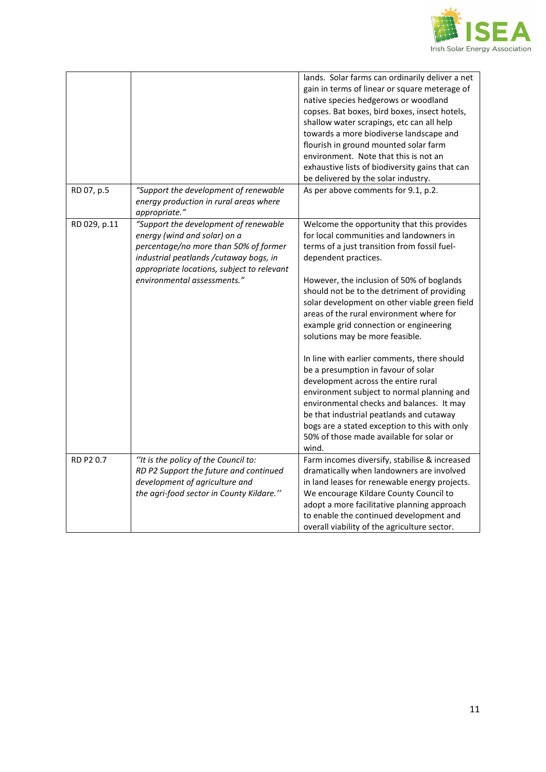

|              |                                                                                                                                                                                                         | lands. Solar farms can ordinarily deliver a net<br>gain in terms of linear or square meterage of<br>native species hedgerows or woodland<br>copses. Bat boxes, bird boxes, insect hotels,<br>shallow water scrapings, etc can all help<br>towards a more biodiverse landscape and<br>flourish in ground mounted solar farm                                             |
|--------------|---------------------------------------------------------------------------------------------------------------------------------------------------------------------------------------------------------|------------------------------------------------------------------------------------------------------------------------------------------------------------------------------------------------------------------------------------------------------------------------------------------------------------------------------------------------------------------------|
|              |                                                                                                                                                                                                         | environment. Note that this is not an<br>exhaustive lists of biodiversity gains that can<br>be delivered by the solar industry.                                                                                                                                                                                                                                        |
| RD 07, p.5   | "Support the development of renewable<br>energy production in rural areas where<br>appropriate."                                                                                                        | As per above comments for 9.1, p.2.                                                                                                                                                                                                                                                                                                                                    |
| RD 029, p.11 | "Support the development of renewable<br>energy (wind and solar) on a<br>percentage/no more than 50% of former<br>industrial peatlands / cutaway bogs, in<br>appropriate locations, subject to relevant | Welcome the opportunity that this provides<br>for local communities and landowners in<br>terms of a just transition from fossil fuel-<br>dependent practices.                                                                                                                                                                                                          |
|              | environmental assessments."                                                                                                                                                                             | However, the inclusion of 50% of boglands<br>should not be to the detriment of providing<br>solar development on other viable green field<br>areas of the rural environment where for<br>example grid connection or engineering<br>solutions may be more feasible.                                                                                                     |
| RD P2 0.7    |                                                                                                                                                                                                         | In line with earlier comments, there should<br>be a presumption in favour of solar<br>development across the entire rural<br>environment subject to normal planning and<br>environmental checks and balances. It may<br>be that industrial peatlands and cutaway<br>bogs are a stated exception to this with only<br>50% of those made available for solar or<br>wind. |
|              | "It is the policy of the Council to:<br>RD P2 Support the future and continued<br>development of agriculture and<br>the agri-food sector in County Kildare."                                            | Farm incomes diversify, stabilise & increased<br>dramatically when landowners are involved<br>in land leases for renewable energy projects.<br>We encourage Kildare County Council to<br>adopt a more facilitative planning approach<br>to enable the continued development and<br>overall viability of the agriculture sector.                                        |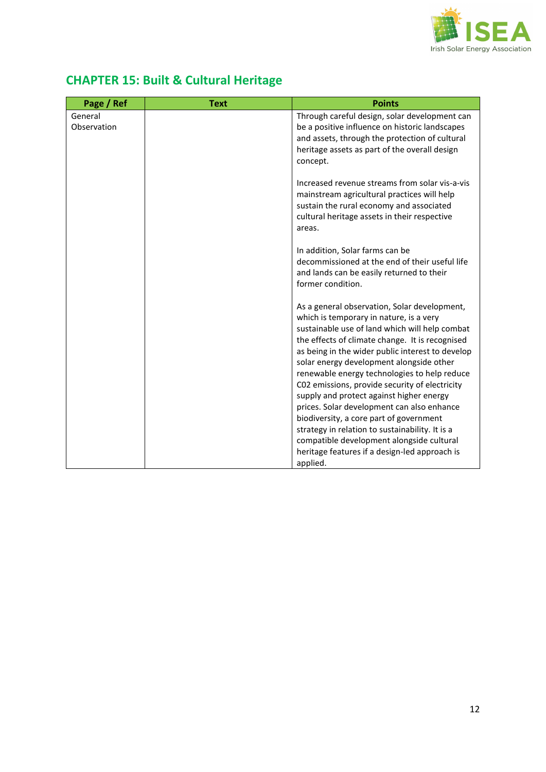

| <b>CHAPTER 15: Built &amp; Cultural Heritage</b> |  |
|--------------------------------------------------|--|
|--------------------------------------------------|--|

| Page / Ref             | <b>Text</b> | <b>Points</b>                                                                                                                                                                                                                                                                                                                                                                                                                                                                            |
|------------------------|-------------|------------------------------------------------------------------------------------------------------------------------------------------------------------------------------------------------------------------------------------------------------------------------------------------------------------------------------------------------------------------------------------------------------------------------------------------------------------------------------------------|
| General<br>Observation |             | Through careful design, solar development can<br>be a positive influence on historic landscapes<br>and assets, through the protection of cultural<br>heritage assets as part of the overall design<br>concept.                                                                                                                                                                                                                                                                           |
|                        |             | Increased revenue streams from solar vis-a-vis<br>mainstream agricultural practices will help<br>sustain the rural economy and associated<br>cultural heritage assets in their respective<br>areas.                                                                                                                                                                                                                                                                                      |
|                        |             | In addition, Solar farms can be<br>decommissioned at the end of their useful life<br>and lands can be easily returned to their<br>former condition.                                                                                                                                                                                                                                                                                                                                      |
|                        |             | As a general observation, Solar development,<br>which is temporary in nature, is a very<br>sustainable use of land which will help combat<br>the effects of climate change. It is recognised<br>as being in the wider public interest to develop<br>solar energy development alongside other<br>renewable energy technologies to help reduce<br>C02 emissions, provide security of electricity<br>supply and protect against higher energy<br>prices. Solar development can also enhance |
|                        |             | biodiversity, a core part of government<br>strategy in relation to sustainability. It is a<br>compatible development alongside cultural                                                                                                                                                                                                                                                                                                                                                  |
|                        |             | heritage features if a design-led approach is<br>applied.                                                                                                                                                                                                                                                                                                                                                                                                                                |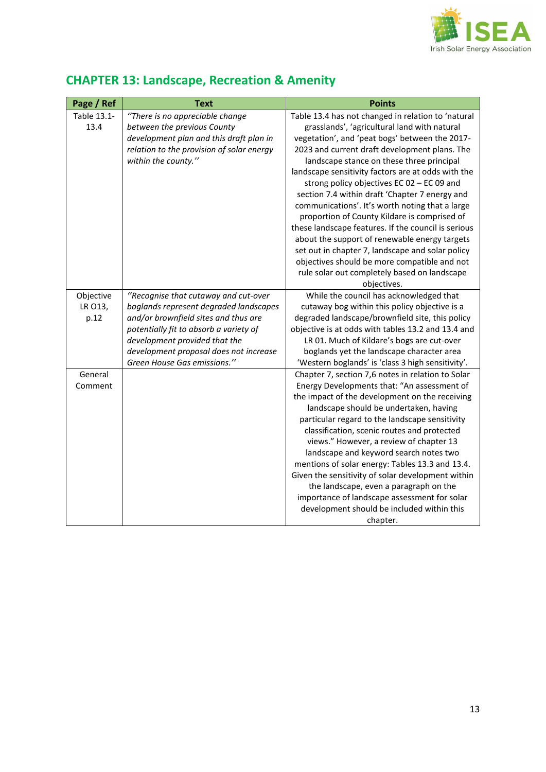

| Page / Ref                   | <b>Text</b>                                                                                                                                                                                                                                                                | <b>Points</b>                                                                                                                                                                                                                                                                                                                                                                                                                                                                                                                                                                                                                                                                                                                                                                          |
|------------------------------|----------------------------------------------------------------------------------------------------------------------------------------------------------------------------------------------------------------------------------------------------------------------------|----------------------------------------------------------------------------------------------------------------------------------------------------------------------------------------------------------------------------------------------------------------------------------------------------------------------------------------------------------------------------------------------------------------------------------------------------------------------------------------------------------------------------------------------------------------------------------------------------------------------------------------------------------------------------------------------------------------------------------------------------------------------------------------|
| Table 13.1-<br>13.4          | "There is no appreciable change<br>between the previous County<br>development plan and this draft plan in<br>relation to the provision of solar energy<br>within the county."                                                                                              | Table 13.4 has not changed in relation to 'natural<br>grasslands', 'agricultural land with natural<br>vegetation', and 'peat bogs' between the 2017-<br>2023 and current draft development plans. The<br>landscape stance on these three principal<br>landscape sensitivity factors are at odds with the<br>strong policy objectives EC 02 - EC 09 and<br>section 7.4 within draft 'Chapter 7 energy and<br>communications'. It's worth noting that a large<br>proportion of County Kildare is comprised of<br>these landscape features. If the council is serious<br>about the support of renewable energy targets<br>set out in chapter 7, landscape and solar policy<br>objectives should be more compatible and not<br>rule solar out completely based on landscape<br>objectives. |
| Objective<br>LR 013,<br>p.12 | "Recognise that cutaway and cut-over<br>boglands represent degraded landscapes<br>and/or brownfield sites and thus are<br>potentially fit to absorb a variety of<br>development provided that the<br>development proposal does not increase<br>Green House Gas emissions." | While the council has acknowledged that<br>cutaway bog within this policy objective is a<br>degraded landscape/brownfield site, this policy<br>objective is at odds with tables 13.2 and 13.4 and<br>LR 01. Much of Kildare's bogs are cut-over<br>boglands yet the landscape character area<br>'Western boglands' is 'class 3 high sensitivity'.                                                                                                                                                                                                                                                                                                                                                                                                                                      |
| General<br>Comment           |                                                                                                                                                                                                                                                                            | Chapter 7, section 7,6 notes in relation to Solar<br>Energy Developments that: "An assessment of<br>the impact of the development on the receiving<br>landscape should be undertaken, having<br>particular regard to the landscape sensitivity<br>classification, scenic routes and protected<br>views." However, a review of chapter 13<br>landscape and keyword search notes two<br>mentions of solar energy: Tables 13.3 and 13.4.<br>Given the sensitivity of solar development within<br>the landscape, even a paragraph on the<br>importance of landscape assessment for solar<br>development should be included within this<br>chapter.                                                                                                                                         |

## **CHAPTER 13: Landscape, Recreation & Amenity**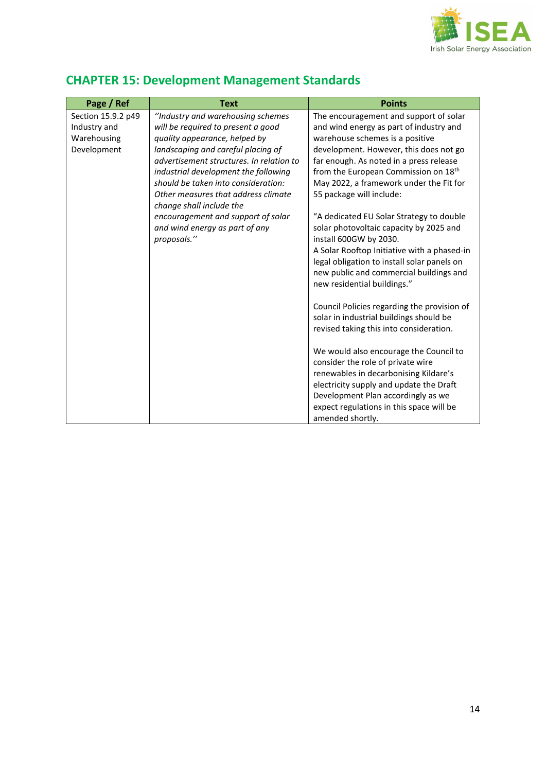

# **CHAPTER 15: Development Management Standards**

| Page / Ref         | <b>Text</b>                              | <b>Points</b>                                    |
|--------------------|------------------------------------------|--------------------------------------------------|
| Section 15.9.2 p49 | "Industry and warehousing schemes        | The encouragement and support of solar           |
| Industry and       | will be required to present a good       | and wind energy as part of industry and          |
| Warehousing        | quality appearance, helped by            | warehouse schemes is a positive                  |
| Development        | landscaping and careful placing of       | development. However, this does not go           |
|                    | advertisement structures. In relation to | far enough. As noted in a press release          |
|                    | industrial development the following     | from the European Commission on 18 <sup>th</sup> |
|                    | should be taken into consideration:      | May 2022, a framework under the Fit for          |
|                    | Other measures that address climate      | 55 package will include:                         |
|                    | change shall include the                 |                                                  |
|                    | encouragement and support of solar       | "A dedicated EU Solar Strategy to double         |
|                    | and wind energy as part of any           | solar photovoltaic capacity by 2025 and          |
|                    |                                          |                                                  |
|                    | proposals."                              | install 600GW by 2030.                           |
|                    |                                          | A Solar Rooftop Initiative with a phased-in      |
|                    |                                          | legal obligation to install solar panels on      |
|                    |                                          | new public and commercial buildings and          |
|                    |                                          | new residential buildings."                      |
|                    |                                          |                                                  |
|                    |                                          | Council Policies regarding the provision of      |
|                    |                                          | solar in industrial buildings should be          |
|                    |                                          | revised taking this into consideration.          |
|                    |                                          |                                                  |
|                    |                                          | We would also encourage the Council to           |
|                    |                                          | consider the role of private wire                |
|                    |                                          | renewables in decarbonising Kildare's            |
|                    |                                          | electricity supply and update the Draft          |
|                    |                                          | Development Plan accordingly as we               |
|                    |                                          | expect regulations in this space will be         |
|                    |                                          | amended shortly.                                 |